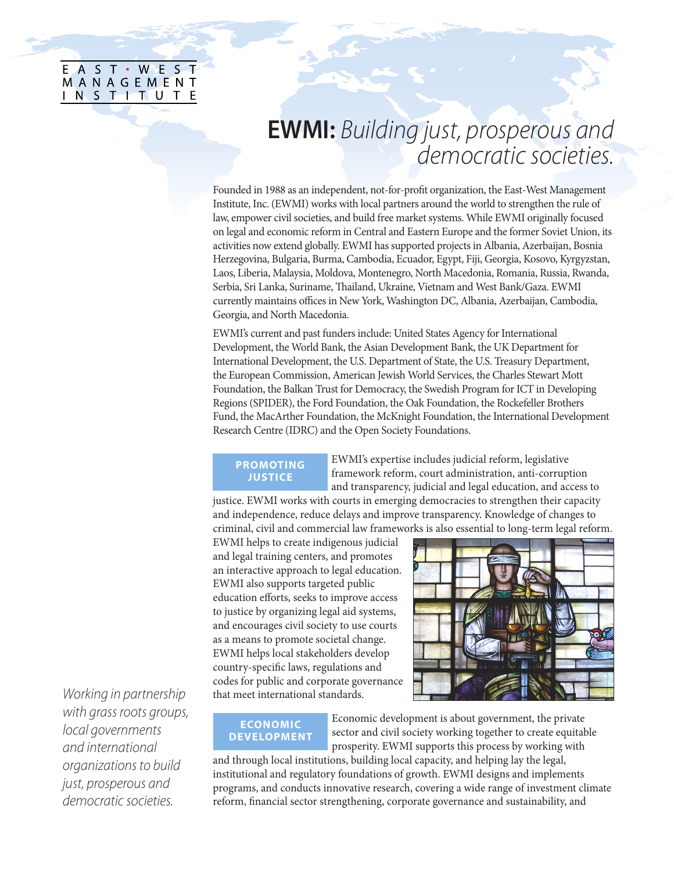|           |            |  |  |  | E A S T · WES T |
|-----------|------------|--|--|--|-----------------|
|           | MANAGEMENT |  |  |  |                 |
| INSTTTUTE |            |  |  |  |                 |
|           |            |  |  |  |                 |

# **EWMI:** *Building just, prosperous and democratic societies.*

Founded in 1988 as an independent, not-for-profit organization, the East-West Management Institute, Inc. (EWMI) works with local partners around the world to strengthen the rule of law, empower civil societies, and build free market systems. While EWMI originally focused on legal and economic reform in Central and Eastern Europe and the former Soviet Union, its activities now extend globally. EWMI has supported projects in Albania, Azerbaijan, Bosnia Herzegovina, Bulgaria, Burma, Cambodia, Ecuador, Egypt, Fiji, Georgia, Kosovo, Kyrgyzstan, Laos, Liberia, Malaysia, Moldova, Montenegro, North Macedonia, Romania, Russia, Rwanda, Serbia, Sri Lanka, Suriname, Thailand, Ukraine, Vietnam and West Bank/Gaza. EWMI currently maintains offices in New York, Washington DC, Albania, Azerbaijan, Cambodia, Georgia, and North Macedonia.

EWMI's current and past funders include: United States Agency for International Development, the World Bank, the Asian Development Bank, the UK Department for International Development, the U.S. Department of State, the U.S. Treasury Department, the European Commission, American Jewish World Services, the Charles Stewart Mott Foundation, the Balkan Trust for Democracy, the Swedish Program for ICT in Developing Regions (SPIDER), the Ford Foundation, the Oak Foundation, the Rockefeller Brothers Fund, the MacArther Foundation, the McKnight Foundation, the International Development Research Centre (IDRC) and the Open Society Foundations.

# **PROMOTING JUSTICE**

EWMI's expertise includes judicial reform, legislative framework reform, court administration, anti-corruption and transparency, judicial and legal education, and access to

justice. EWMI works with courts in emerging democracies to strengthen their capacity and independence, reduce delays and improve transparency. Knowledge of changes to criminal, civil and commercial law frameworks is also essential to long-term legal reform.

EWMI helps to create indigenous judicial and legal training centers, and promotes an interactive approach to legal education. EWMI also supports targeted public education efforts, seeks to improve access to justice by organizing legal aid systems, and encourages civil society to use courts as a means to promote societal change. EWMI helps local stakeholders develop country-specific laws, regulations and codes for public and corporate governance that meet international standards.



## **ECONOMIC DEVELOPMENT**

Economic development is about government, the private sector and civil society working together to create equitable prosperity. EWMI supports this process by working with

and through local institutions, building local capacity, and helping lay the legal, institutional and regulatory foundations of growth. EWMI designs and implements programs, and conducts innovative research, covering a wide range of investment climate reform, financial sector strengthening, corporate governance and sustainability, and

*Working in partnership with grass roots groups, local governments and international organizations to build just, prosperous and democratic societies.*